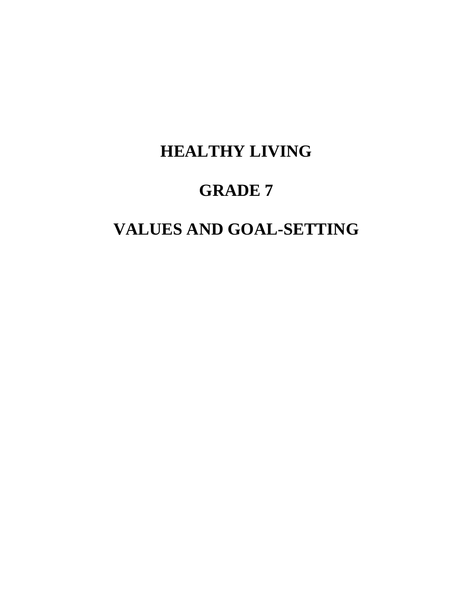# **HEALTHY LIVING**

# **GRADE 7**

# **VALUES AND GOAL-SETTING**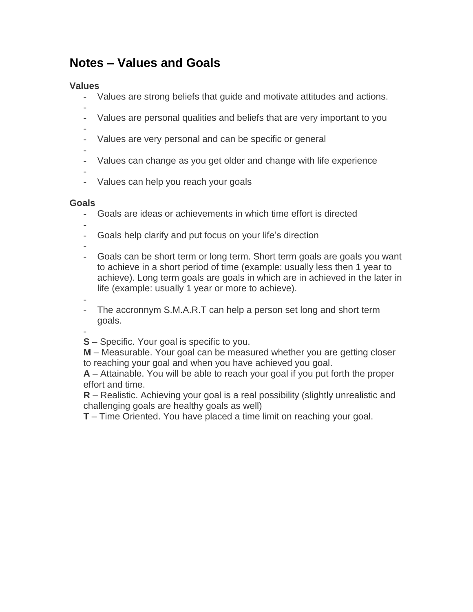## **Notes – Values and Goals**

#### **Values**

- Values are strong beliefs that guide and motivate attitudes and actions.
- - Values are personal qualities and beliefs that are very important to you
- -
- Values are very personal and can be specific or general
- - Values can change as you get older and change with life experience

-

- Values can help you reach your goals

#### **Goals**

- Goals are ideas or achievements in which time effort is directed
- - Goals help clarify and put focus on your life's direction

-

- Goals can be short term or long term. Short term goals are goals you want to achieve in a short period of time (example: usually less then 1 year to achieve). Long term goals are goals in which are in achieved in the later in life (example: usually 1 year or more to achieve).
- -
- The accronnym S.M.A.R.T can help a person set long and short term goals.

-

**S** – Specific. Your goal is specific to you.

**M** – Measurable. Your goal can be measured whether you are getting closer to reaching your goal and when you have achieved you goal.

**A** – Attainable. You will be able to reach your goal if you put forth the proper effort and time.

**R** – Realistic. Achieving your goal is a real possibility (slightly unrealistic and challenging goals are healthy goals as well)

**T** – Time Oriented. You have placed a time limit on reaching your goal.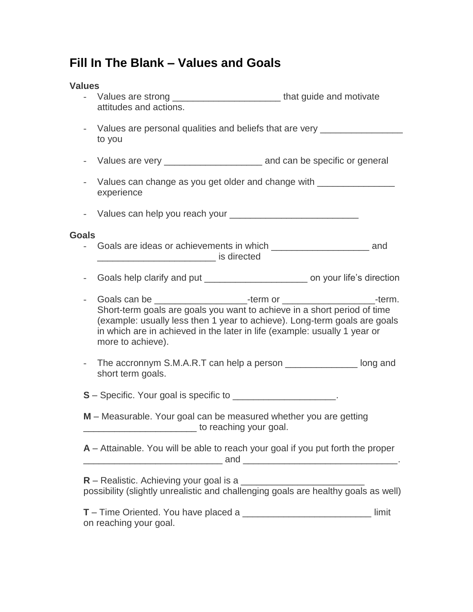### **Fill In The Blank – Values and Goals**

#### **Values**

- Values are strong \_\_\_\_\_\_\_\_\_\_\_\_\_\_\_\_\_\_\_\_\_\_\_\_\_\_\_\_\_\_\_that guide and motivate attitudes and actions.
- Values are personal qualities and beliefs that are very \_\_\_\_\_\_\_\_\_\_\_\_\_\_\_\_\_\_\_\_\_\_ to you
- Values are very example and can be specific or general
- Values can change as you get older and change with \_\_\_\_\_\_\_\_\_\_\_\_\_\_\_\_\_\_\_\_\_\_\_\_\_\_\_ experience
- Values can help you reach your

#### **Goals**

- Goals are ideas or achievements in which \_\_\_\_\_\_\_\_\_\_\_\_\_\_\_\_\_\_\_\_\_\_\_\_\_\_\_\_\_\_\_ and \_\_\_\_\_\_\_\_\_\_\_\_\_\_\_\_\_\_\_\_\_\_\_ is directed
- Goals help clarify and put \_\_\_\_\_\_\_\_\_\_\_\_\_\_\_\_\_\_\_\_\_\_\_\_\_\_\_\_\_\_ on your life's direction
- Goals can be \_\_\_\_\_\_\_\_\_\_\_\_\_\_\_\_\_\_-term or \_\_\_\_\_\_\_\_\_\_\_\_\_\_\_\_\_\_-term. Short-term goals are goals you want to achieve in a short period of time (example: usually less then 1 year to achieve). Long-term goals are goals in which are in achieved in the later in life (example: usually 1 year or more to achieve).
- The accronnym S.M.A.R.T can help a person **cannot** long and short term goals.

**S** – Specific. Your goal is specific to  $\cdot$ 

- **M** Measurable. Your goal can be measured whether you are getting  $\sim$  to reaching your goal.
- **A** Attainable. You will be able to reach your goal if you put forth the proper  $\_$  and  $\_$

| $R$ – Realistic. Achieving your goal is a                                          |  |
|------------------------------------------------------------------------------------|--|
| possibility (slightly unrealistic and challenging goals are healthy goals as well) |  |

| <b>T</b> – Time Oriented. You have placed a | limit |
|---------------------------------------------|-------|
| on reaching your goal.                      |       |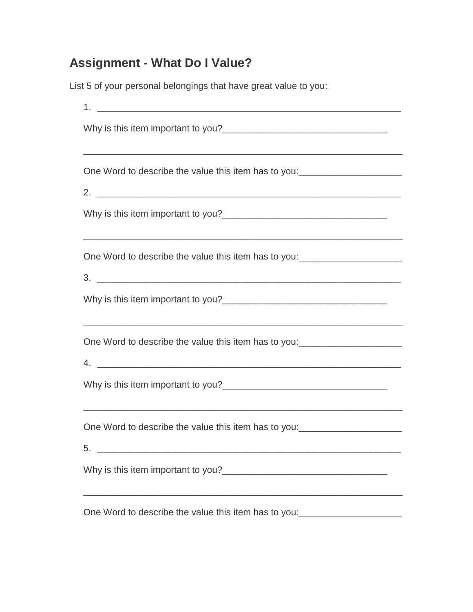## **Assignment - What Do I Value?**

List 5 of your personal belongings that have great value to you:

| One Word to describe the value this item has to you: ___________________________                                                                                                                               |
|----------------------------------------------------------------------------------------------------------------------------------------------------------------------------------------------------------------|
|                                                                                                                                                                                                                |
| One Word to describe the value this item has to you: ___________________________                                                                                                                               |
| <u> 1989 - Johann Stoff, amerikansk politiker (d. 1989)</u>                                                                                                                                                    |
| One Word to describe the value this item has to you: ___________________________<br>4.<br><u> 1999 - Jan James James James James James James James James James James James James James James James James J</u> |
|                                                                                                                                                                                                                |
| One Word to describe the value this item has to you:<br><u>Cone Word to describe the value this item has to you:</u><br>5.                                                                                     |
| Why is this item important to you?                                                                                                                                                                             |
| One Word to describe the value this item has to you:<br>                                                                                                                                                       |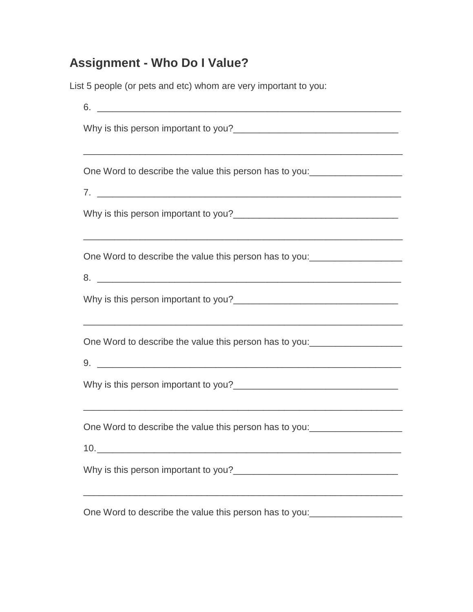## **Assignment - Who Do I Value?**

List 5 people (or pets and etc) whom are very important to you:

| 6.                                                                                                                          |
|-----------------------------------------------------------------------------------------------------------------------------|
|                                                                                                                             |
| One Word to describe the value this person has to you:__________________________                                            |
|                                                                                                                             |
|                                                                                                                             |
|                                                                                                                             |
| 8.                                                                                                                          |
|                                                                                                                             |
|                                                                                                                             |
|                                                                                                                             |
| <u> 1989 - Johann Stoff, amerikansk politiker (d. 1989)</u>                                                                 |
| 10.<br><u> 1989 - Johann Stein, mars an deutscher Stein und der Stein und der Stein und der Stein und der Stein und der</u> |
|                                                                                                                             |
|                                                                                                                             |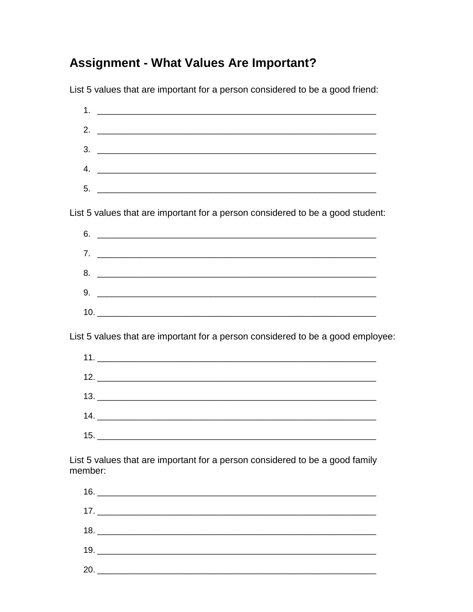## **Assignment - What Values Are Important?**

List 5 values that are important for a person considered to be a good friend:



 $20.$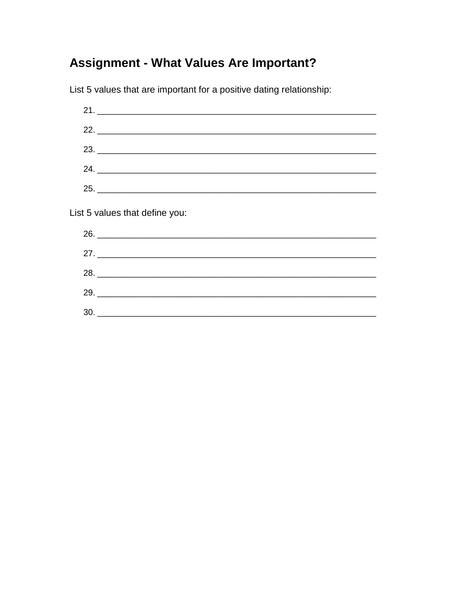## **Assignment - What Values Are Important?**

List 5 values that are important for a positive dating relationship:

 $21.$  $22.$ 23. 24.  $25.$ List 5 values that define you:  $26.$  $28.$ 30.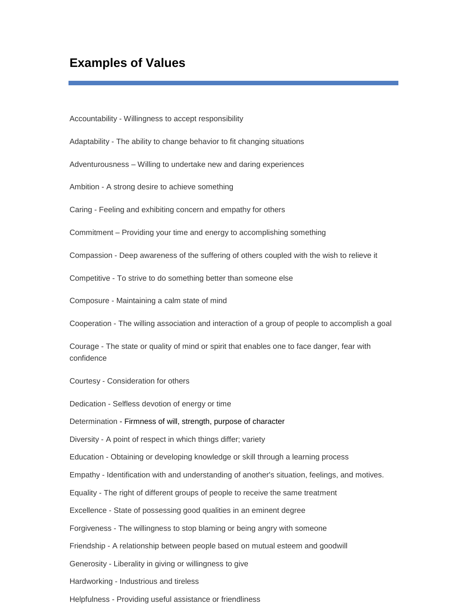### **Examples of Values**

Accountability - Willingness to accept responsibility

Adaptability - The ability to change behavior to fit changing situations

Adventurousness – Willing to undertake new and daring experiences

Ambition - A strong desire to achieve something

Caring - Feeling and exhibiting concern and empathy for others

Commitment – Providing your time and energy to accomplishing something

Compassion - Deep awareness of the suffering of others coupled with the wish to relieve it

Competitive - To strive to do something better than someone else

Composure - Maintaining a calm state of mind

Cooperation - The willing association and interaction of a group of people to accomplish a goal

Courage - The state or quality of mind or spirit that enables one to face danger, fear with confidence

Courtesy - Consideration for others

Dedication - Selfless devotion of energy or time

Determination - Firmness of will, strength, purpose of character

Diversity - A point of respect in which things differ; variety

Education - Obtaining or developing knowledge or skill through a learning process

Empathy - Identification with and understanding of another's situation, feelings, and motives.

Equality - The right of different groups of people to receive the same treatment

Excellence - State of possessing good qualities in an eminent degree

Forgiveness - The willingness to stop blaming or being angry with someone

Friendship - A relationship between people based on mutual esteem and goodwill

Generosity - Liberality in giving or willingness to give

Hardworking - Industrious and tireless

Helpfulness - Providing useful assistance or friendliness